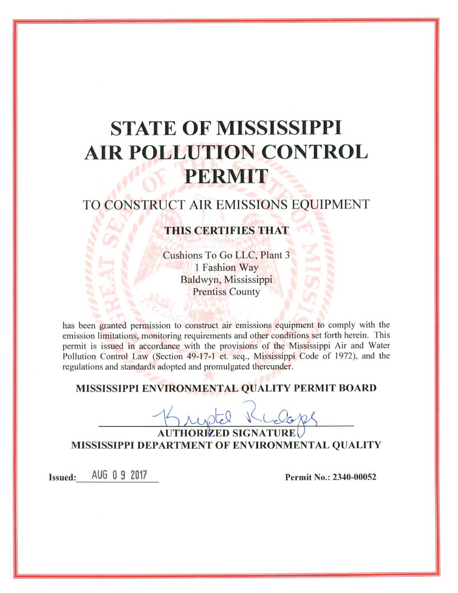# **STATE OF MISSISSIPPI AIR POLLUTION CONTROL** PERMIT

# TO CONSTRUCT AIR EMISSIONS EQUIPMENT

# THIS CERTIFIES THAT

Cushions To Go LLC, Plant 3 1 Fashion Way Baldwyn, Mississippi **Prentiss County** 

has been granted permission to construct air emissions equipment to comply with the emission limitations, monitoring requirements and other conditions set forth herein. This permit is issued in accordance with the provisions of the Mississippi Air and Water Pollution Control Law (Section 49-17-1 et. seq., Mississippi Code of 1972), and the regulations and standards adopted and promulgated thereunder.

# MISSISSIPPI ENVIRONMENTAL QUALITY PERMIT BOARD

**AUTHORIZED SIGNATURE** MISSISSIPPI DEPARTMENT OF ENVIRONMENTAL QUALITY

AUG 0 9 2017 **Issued:** 

Permit No.: 2340-00052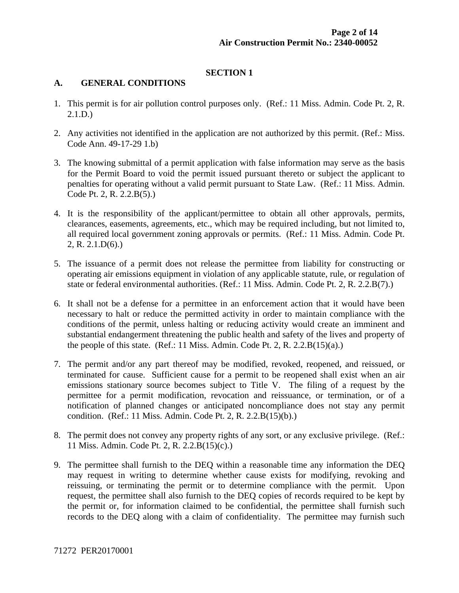# **SECTION 1**

#### **A. GENERAL CONDITIONS**

- 1. This permit is for air pollution control purposes only. (Ref.: 11 Miss. Admin. Code Pt. 2, R. 2.1.D.)
- 2. Any activities not identified in the application are not authorized by this permit. (Ref.: Miss. Code Ann. 49-17-29 1.b)
- 3. The knowing submittal of a permit application with false information may serve as the basis for the Permit Board to void the permit issued pursuant thereto or subject the applicant to penalties for operating without a valid permit pursuant to State Law. (Ref.: 11 Miss. Admin. Code Pt. 2, R. 2.2.B(5).)
- 4. It is the responsibility of the applicant/permittee to obtain all other approvals, permits, clearances, easements, agreements, etc., which may be required including, but not limited to, all required local government zoning approvals or permits. (Ref.: 11 Miss. Admin. Code Pt. 2, R. 2.1.D(6).)
- 5. The issuance of a permit does not release the permittee from liability for constructing or operating air emissions equipment in violation of any applicable statute, rule, or regulation of state or federal environmental authorities. (Ref.: 11 Miss. Admin. Code Pt. 2, R. 2.2.B(7).)
- 6. It shall not be a defense for a permittee in an enforcement action that it would have been necessary to halt or reduce the permitted activity in order to maintain compliance with the conditions of the permit, unless halting or reducing activity would create an imminent and substantial endangerment threatening the public health and safety of the lives and property of the people of this state. (Ref.: 11 Miss. Admin. Code Pt. 2, R. 2.2. $B(15)(a)$ .)
- 7. The permit and/or any part thereof may be modified, revoked, reopened, and reissued, or terminated for cause. Sufficient cause for a permit to be reopened shall exist when an air emissions stationary source becomes subject to Title V. The filing of a request by the permittee for a permit modification, revocation and reissuance, or termination, or of a notification of planned changes or anticipated noncompliance does not stay any permit condition. (Ref.: 11 Miss. Admin. Code Pt. 2, R. 2.2.B(15)(b).)
- 8. The permit does not convey any property rights of any sort, or any exclusive privilege. (Ref.: 11 Miss. Admin. Code Pt. 2, R. 2.2.B(15)(c).)
- 9. The permittee shall furnish to the DEQ within a reasonable time any information the DEQ may request in writing to determine whether cause exists for modifying, revoking and reissuing, or terminating the permit or to determine compliance with the permit. Upon request, the permittee shall also furnish to the DEQ copies of records required to be kept by the permit or, for information claimed to be confidential, the permittee shall furnish such records to the DEQ along with a claim of confidentiality. The permittee may furnish such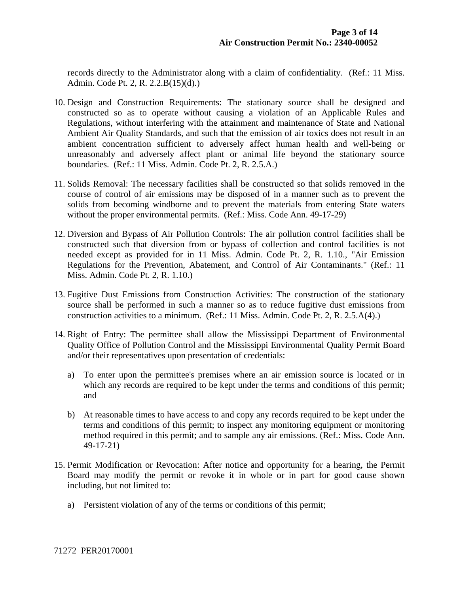records directly to the Administrator along with a claim of confidentiality. (Ref.: 11 Miss. Admin. Code Pt. 2, R. 2.2.B(15)(d).)

- 10. Design and Construction Requirements: The stationary source shall be designed and constructed so as to operate without causing a violation of an Applicable Rules and Regulations, without interfering with the attainment and maintenance of State and National Ambient Air Quality Standards, and such that the emission of air toxics does not result in an ambient concentration sufficient to adversely affect human health and well-being or unreasonably and adversely affect plant or animal life beyond the stationary source boundaries. (Ref.: 11 Miss. Admin. Code Pt. 2, R. 2.5.A.)
- 11. Solids Removal: The necessary facilities shall be constructed so that solids removed in the course of control of air emissions may be disposed of in a manner such as to prevent the solids from becoming windborne and to prevent the materials from entering State waters without the proper environmental permits. (Ref.: Miss. Code Ann. 49-17-29)
- 12. Diversion and Bypass of Air Pollution Controls: The air pollution control facilities shall be constructed such that diversion from or bypass of collection and control facilities is not needed except as provided for in 11 Miss. Admin. Code Pt. 2, R. 1.10., "Air Emission Regulations for the Prevention, Abatement, and Control of Air Contaminants." (Ref.: 11 Miss. Admin. Code Pt. 2, R. 1.10.)
- 13. Fugitive Dust Emissions from Construction Activities: The construction of the stationary source shall be performed in such a manner so as to reduce fugitive dust emissions from construction activities to a minimum. (Ref.: 11 Miss. Admin. Code Pt. 2, R. 2.5.A(4).)
- 14. Right of Entry: The permittee shall allow the Mississippi Department of Environmental Quality Office of Pollution Control and the Mississippi Environmental Quality Permit Board and/or their representatives upon presentation of credentials:
	- a) To enter upon the permittee's premises where an air emission source is located or in which any records are required to be kept under the terms and conditions of this permit; and
	- b) At reasonable times to have access to and copy any records required to be kept under the terms and conditions of this permit; to inspect any monitoring equipment or monitoring method required in this permit; and to sample any air emissions. (Ref.: Miss. Code Ann. 49-17-21)
- 15. Permit Modification or Revocation: After notice and opportunity for a hearing, the Permit Board may modify the permit or revoke it in whole or in part for good cause shown including, but not limited to:
	- a) Persistent violation of any of the terms or conditions of this permit;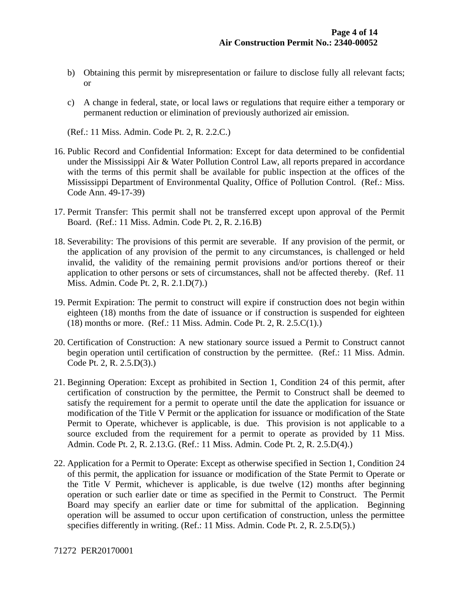- b) Obtaining this permit by misrepresentation or failure to disclose fully all relevant facts; or
- c) A change in federal, state, or local laws or regulations that require either a temporary or permanent reduction or elimination of previously authorized air emission.

(Ref.: 11 Miss. Admin. Code Pt. 2, R. 2.2.C.)

- 16. Public Record and Confidential Information: Except for data determined to be confidential under the Mississippi Air & Water Pollution Control Law, all reports prepared in accordance with the terms of this permit shall be available for public inspection at the offices of the Mississippi Department of Environmental Quality, Office of Pollution Control. (Ref.: Miss. Code Ann. 49-17-39)
- 17. Permit Transfer: This permit shall not be transferred except upon approval of the Permit Board. (Ref.: 11 Miss. Admin. Code Pt. 2, R. 2.16.B)
- 18. Severability: The provisions of this permit are severable. If any provision of the permit, or the application of any provision of the permit to any circumstances, is challenged or held invalid, the validity of the remaining permit provisions and/or portions thereof or their application to other persons or sets of circumstances, shall not be affected thereby. (Ref. 11 Miss. Admin. Code Pt. 2, R. 2.1.D(7).)
- 19. Permit Expiration: The permit to construct will expire if construction does not begin within eighteen (18) months from the date of issuance or if construction is suspended for eighteen (18) months or more. (Ref.: 11 Miss. Admin. Code Pt. 2, R. 2.5.C(1).)
- 20. Certification of Construction: A new stationary source issued a Permit to Construct cannot begin operation until certification of construction by the permittee. (Ref.: 11 Miss. Admin. Code Pt. 2, R. 2.5.D(3).)
- 21. Beginning Operation: Except as prohibited in Section 1, Condition 24 of this permit, after certification of construction by the permittee, the Permit to Construct shall be deemed to satisfy the requirement for a permit to operate until the date the application for issuance or modification of the Title V Permit or the application for issuance or modification of the State Permit to Operate, whichever is applicable, is due. This provision is not applicable to a source excluded from the requirement for a permit to operate as provided by 11 Miss. Admin. Code Pt. 2, R. 2.13.G. (Ref.: 11 Miss. Admin. Code Pt. 2, R. 2.5.D(4).)
- 22. Application for a Permit to Operate: Except as otherwise specified in Section 1, Condition 24 of this permit, the application for issuance or modification of the State Permit to Operate or the Title V Permit, whichever is applicable, is due twelve (12) months after beginning operation or such earlier date or time as specified in the Permit to Construct. The Permit Board may specify an earlier date or time for submittal of the application. Beginning operation will be assumed to occur upon certification of construction, unless the permittee specifies differently in writing. (Ref.: 11 Miss. Admin. Code Pt. 2, R. 2.5.D(5).)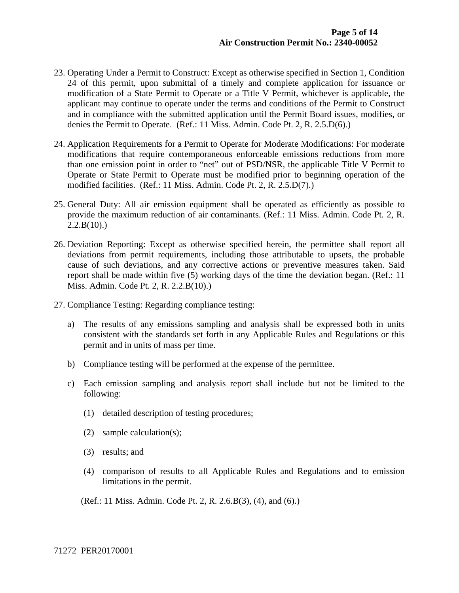- 23. Operating Under a Permit to Construct: Except as otherwise specified in Section 1, Condition 24 of this permit, upon submittal of a timely and complete application for issuance or modification of a State Permit to Operate or a Title V Permit, whichever is applicable, the applicant may continue to operate under the terms and conditions of the Permit to Construct and in compliance with the submitted application until the Permit Board issues, modifies, or denies the Permit to Operate. (Ref.: 11 Miss. Admin. Code Pt. 2, R. 2.5.D(6).)
- 24. Application Requirements for a Permit to Operate for Moderate Modifications: For moderate modifications that require contemporaneous enforceable emissions reductions from more than one emission point in order to "net" out of PSD/NSR, the applicable Title V Permit to Operate or State Permit to Operate must be modified prior to beginning operation of the modified facilities. (Ref.: 11 Miss. Admin. Code Pt. 2, R. 2.5.D(7).)
- 25. General Duty: All air emission equipment shall be operated as efficiently as possible to provide the maximum reduction of air contaminants. (Ref.: 11 Miss. Admin. Code Pt. 2, R.  $2.2.B(10)$ .)
- 26. Deviation Reporting: Except as otherwise specified herein, the permittee shall report all deviations from permit requirements, including those attributable to upsets, the probable cause of such deviations, and any corrective actions or preventive measures taken. Said report shall be made within five (5) working days of the time the deviation began. (Ref.: 11 Miss. Admin. Code Pt. 2, R. 2.2.B(10).)
- 27. Compliance Testing: Regarding compliance testing:
	- a) The results of any emissions sampling and analysis shall be expressed both in units consistent with the standards set forth in any Applicable Rules and Regulations or this permit and in units of mass per time.
	- b) Compliance testing will be performed at the expense of the permittee.
	- c) Each emission sampling and analysis report shall include but not be limited to the following:
		- (1) detailed description of testing procedures;
		- (2) sample calculation(s);
		- (3) results; and
		- (4) comparison of results to all Applicable Rules and Regulations and to emission limitations in the permit.

(Ref.: 11 Miss. Admin. Code Pt. 2, R. 2.6.B(3), (4), and (6).)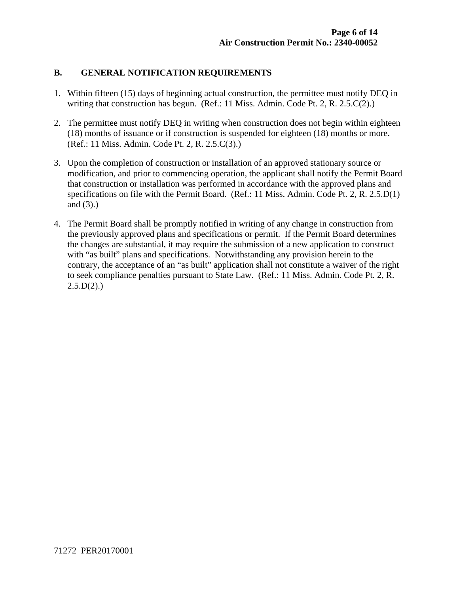#### **B. GENERAL NOTIFICATION REQUIREMENTS**

- 1. Within fifteen (15) days of beginning actual construction, the permittee must notify DEQ in writing that construction has begun. (Ref.: 11 Miss. Admin. Code Pt. 2, R. 2.5.C(2).)
- 2. The permittee must notify DEQ in writing when construction does not begin within eighteen (18) months of issuance or if construction is suspended for eighteen (18) months or more. (Ref.: 11 Miss. Admin. Code Pt. 2, R. 2.5.C(3).)
- 3. Upon the completion of construction or installation of an approved stationary source or modification, and prior to commencing operation, the applicant shall notify the Permit Board that construction or installation was performed in accordance with the approved plans and specifications on file with the Permit Board. (Ref.: 11 Miss. Admin. Code Pt. 2, R. 2.5.D(1) and (3).)
- 4. The Permit Board shall be promptly notified in writing of any change in construction from the previously approved plans and specifications or permit. If the Permit Board determines the changes are substantial, it may require the submission of a new application to construct with "as built" plans and specifications. Notwithstanding any provision herein to the contrary, the acceptance of an "as built" application shall not constitute a waiver of the right to seek compliance penalties pursuant to State Law. (Ref.: 11 Miss. Admin. Code Pt. 2, R.  $2.5.D(2)$ .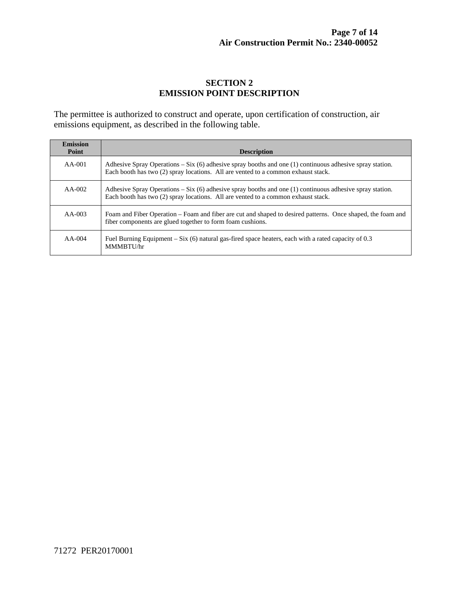# **SECTION 2 EMISSION POINT DESCRIPTION**

The permittee is authorized to construct and operate, upon certification of construction, air emissions equipment, as described in the following table.

| <b>Emission</b><br>Point | <b>Description</b>                                                                                                                                                                              |
|--------------------------|-------------------------------------------------------------------------------------------------------------------------------------------------------------------------------------------------|
| $AA-001$                 | Adhesive Spray Operations – Six $(6)$ adhesive spray booths and one (1) continuous adhesive spray station.<br>Each booth has two (2) spray locations. All are vented to a common exhaust stack. |
| $AA-002$                 | Adhesive Spray Operations – Six (6) adhesive spray booths and one (1) continuous adhesive spray station.<br>Each booth has two (2) spray locations. All are vented to a common exhaust stack.   |
| $AA-003$                 | Foam and Fiber Operation – Foam and fiber are cut and shaped to desired patterns. Once shaped, the foam and<br>fiber components are glued together to form foam cushions.                       |
| $AA-004$                 | Fuel Burning Equipment – Six (6) natural gas-fired space heaters, each with a rated capacity of $0.3$<br>MMMBTU/hr                                                                              |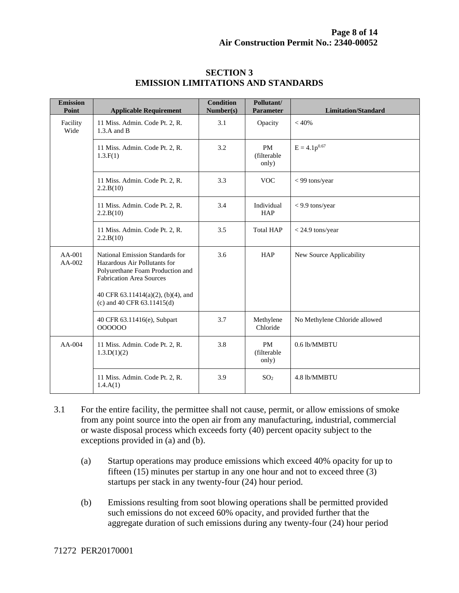| <b>Emission</b><br>Point | <b>Applicable Requirement</b>                                                                                                          | <b>Condition</b><br>Number(s) | Pollutant/<br><b>Parameter</b>     | <b>Limitation/Standard</b>    |
|--------------------------|----------------------------------------------------------------------------------------------------------------------------------------|-------------------------------|------------------------------------|-------------------------------|
| Facility<br>Wide         | 11 Miss. Admin. Code Pt. 2, R.<br>$1.3.A$ and B                                                                                        | 3.1                           | Opacity                            | $< 40\%$                      |
|                          | 11 Miss. Admin. Code Pt. 2, R.<br>1.3.F(1)                                                                                             | 3.2                           | <b>PM</b><br>(filterable)<br>only) | $E = 4.1p^{0.67}$             |
|                          | 11 Miss. Admin. Code Pt. 2, R.<br>2.2.B(10)                                                                                            | 3.3                           | <b>VOC</b>                         | $<$ 99 tons/year              |
|                          | 11 Miss. Admin. Code Pt. 2, R.<br>2.2.B(10)                                                                                            | 3.4                           | Individual<br><b>HAP</b>           | $<$ 9.9 tons/year             |
|                          | 11 Miss. Admin. Code Pt. 2, R.<br>2.2.B(10)                                                                                            | 3.5                           | <b>Total HAP</b>                   | $<$ 24.9 tons/year            |
| $AA-001$<br>$AA-002$     | National Emission Standards for<br>Hazardous Air Pollutants for<br>Polyurethane Foam Production and<br><b>Fabrication Area Sources</b> | 3.6                           | <b>HAP</b>                         | New Source Applicability      |
|                          | 40 CFR 63.11414(a)(2), (b)(4), and<br>(c) and 40 CFR $63.11415(d)$                                                                     |                               |                                    |                               |
|                          | 40 CFR 63.11416(e), Subpart<br>000000                                                                                                  | 3.7                           | Methylene<br>Chloride              | No Methylene Chloride allowed |
| $AA-004$                 | 11 Miss. Admin. Code Pt. 2, R.<br>1.3.D(1)(2)                                                                                          | 3.8                           | <b>PM</b><br>(filterable<br>only)  | 0.6 lb/MMBTU                  |
|                          | 11 Miss. Admin. Code Pt. 2, R.<br>1.4.A(1)                                                                                             | 3.9                           | SO <sub>2</sub>                    | 4.8 lb/MMBTU                  |

#### **SECTION 3 EMISSION LIMITATIONS AND STANDARDS**

- 3.1 For the entire facility, the permittee shall not cause, permit, or allow emissions of smoke from any point source into the open air from any manufacturing, industrial, commercial or waste disposal process which exceeds forty (40) percent opacity subject to the exceptions provided in (a) and (b).
	- (a) Startup operations may produce emissions which exceed 40% opacity for up to fifteen (15) minutes per startup in any one hour and not to exceed three (3) startups per stack in any twenty-four (24) hour period.
	- (b) Emissions resulting from soot blowing operations shall be permitted provided such emissions do not exceed 60% opacity, and provided further that the aggregate duration of such emissions during any twenty-four (24) hour period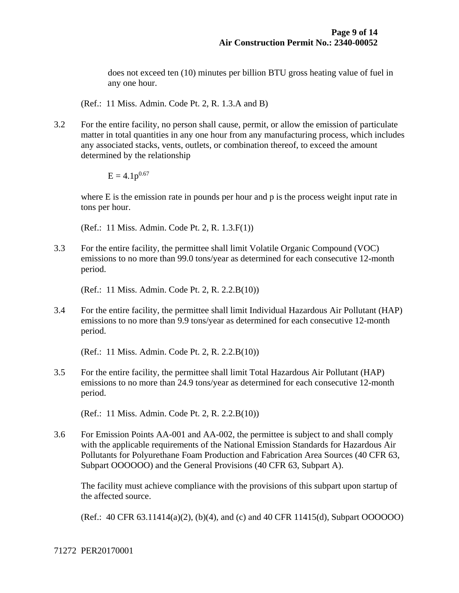does not exceed ten (10) minutes per billion BTU gross heating value of fuel in any one hour.

(Ref.: 11 Miss. Admin. Code Pt. 2, R. 1.3.A and B)

3.2 For the entire facility, no person shall cause, permit, or allow the emission of particulate matter in total quantities in any one hour from any manufacturing process, which includes any associated stacks, vents, outlets, or combination thereof, to exceed the amount determined by the relationship

 $E = 4.1p^{0.67}$ 

where E is the emission rate in pounds per hour and p is the process weight input rate in tons per hour.

(Ref.: 11 Miss. Admin. Code Pt. 2, R. 1.3.F(1))

3.3 For the entire facility, the permittee shall limit Volatile Organic Compound (VOC) emissions to no more than 99.0 tons/year as determined for each consecutive 12-month period.

(Ref.: 11 Miss. Admin. Code Pt. 2, R. 2.2.B(10))

3.4 For the entire facility, the permittee shall limit Individual Hazardous Air Pollutant (HAP) emissions to no more than 9.9 tons/year as determined for each consecutive 12-month period.

(Ref.: 11 Miss. Admin. Code Pt. 2, R. 2.2.B(10))

3.5 For the entire facility, the permittee shall limit Total Hazardous Air Pollutant (HAP) emissions to no more than 24.9 tons/year as determined for each consecutive 12-month period.

(Ref.: 11 Miss. Admin. Code Pt. 2, R. 2.2.B(10))

3.6 For Emission Points AA-001 and AA-002, the permittee is subject to and shall comply with the applicable requirements of the National Emission Standards for Hazardous Air Pollutants for Polyurethane Foam Production and Fabrication Area Sources (40 CFR 63, Subpart OOOOOO) and the General Provisions (40 CFR 63, Subpart A).

 The facility must achieve compliance with the provisions of this subpart upon startup of the affected source.

(Ref.: 40 CFR 63.11414(a)(2), (b)(4), and (c) and 40 CFR 11415(d), Subpart OOOOOO)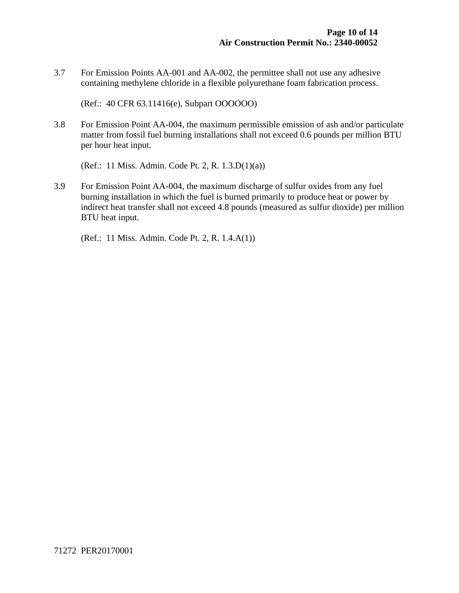3.7 For Emission Points AA-001 and AA-002, the permittee shall not use any adhesive containing methylene chloride in a flexible polyurethane foam fabrication process.

(Ref.: 40 CFR 63.11416(e), Subpart OOOOOO)

3.8 For Emission Point AA-004, the maximum permissible emission of ash and/or particulate matter from fossil fuel burning installations shall not exceed 0.6 pounds per million BTU per hour heat input.

(Ref.: 11 Miss. Admin. Code Pt. 2, R. 1.3.D(1)(a))

3.9 For Emission Point AA-004, the maximum discharge of sulfur oxides from any fuel burning installation in which the fuel is burned primarily to produce heat or power by indirect heat transfer shall not exceed 4.8 pounds (measured as sulfur dioxide) per million BTU heat input.

(Ref.: 11 Miss. Admin. Code Pt. 2, R. 1.4.A(1))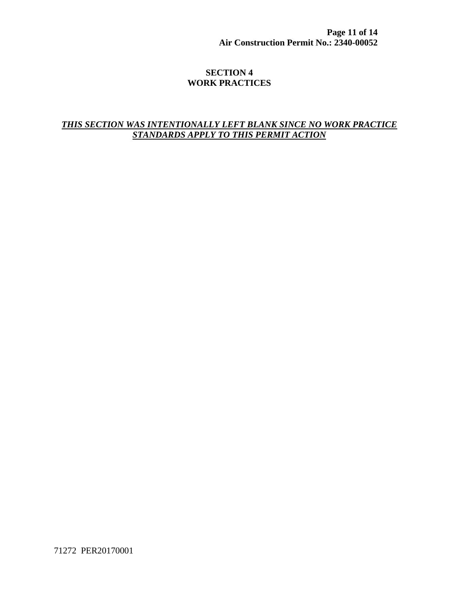**Page 11 of 14 Air Construction Permit No.: 2340-00052**

#### **SECTION 4 WORK PRACTICES**

## *THIS SECTION WAS INTENTIONALLY LEFT BLANK SINCE NO WORK PRACTICE STANDARDS APPLY TO THIS PERMIT ACTION*

71272 PER20170001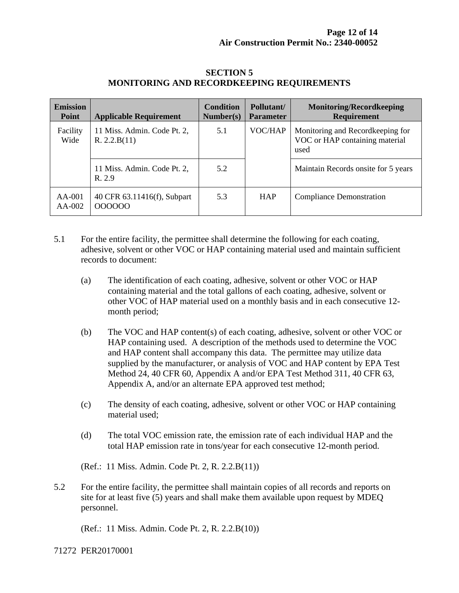| <b>Emission</b><br><b>Point</b> | <b>Applicable Requirement</b>               | <b>Condition</b><br>Number(s) | Pollutant/<br><b>Parameter</b> | <b>Monitoring/Recordkeeping</b><br><b>Requirement</b>                      |
|---------------------------------|---------------------------------------------|-------------------------------|--------------------------------|----------------------------------------------------------------------------|
| Facility<br>Wide                | 11 Miss. Admin. Code Pt. 2,<br>R. 2.2.B(11) | 5.1                           | VOC/HAP                        | Monitoring and Recordkeeping for<br>VOC or HAP containing material<br>used |
|                                 | 11 Miss. Admin. Code Pt. 2,<br>R.2.9        | 5.2                           |                                | Maintain Records onsite for 5 years                                        |
| AA-001<br>AA-002                | 40 CFR 63.11416(f), Subpart<br>000000       | 5.3                           | <b>HAP</b>                     | <b>Compliance Demonstration</b>                                            |

#### **SECTION 5 MONITORING AND RECORDKEEPING REQUIREMENTS**

- 5.1 For the entire facility, the permittee shall determine the following for each coating, adhesive, solvent or other VOC or HAP containing material used and maintain sufficient records to document:
	- (a) The identification of each coating, adhesive, solvent or other VOC or HAP containing material and the total gallons of each coating, adhesive, solvent or other VOC of HAP material used on a monthly basis and in each consecutive 12 month period;
	- (b) The VOC and HAP content(s) of each coating, adhesive, solvent or other VOC or HAP containing used. A description of the methods used to determine the VOC and HAP content shall accompany this data. The permittee may utilize data supplied by the manufacturer, or analysis of VOC and HAP content by EPA Test Method 24, 40 CFR 60, Appendix A and/or EPA Test Method 311, 40 CFR 63, Appendix A, and/or an alternate EPA approved test method;
	- (c) The density of each coating, adhesive, solvent or other VOC or HAP containing material used;
	- (d) The total VOC emission rate, the emission rate of each individual HAP and the total HAP emission rate in tons/year for each consecutive 12-month period.

(Ref.: 11 Miss. Admin. Code Pt. 2, R. 2.2.B(11))

5.2 For the entire facility, the permittee shall maintain copies of all records and reports on site for at least five (5) years and shall make them available upon request by MDEQ personnel.

(Ref.: 11 Miss. Admin. Code Pt. 2, R. 2.2.B(10))

71272 PER20170001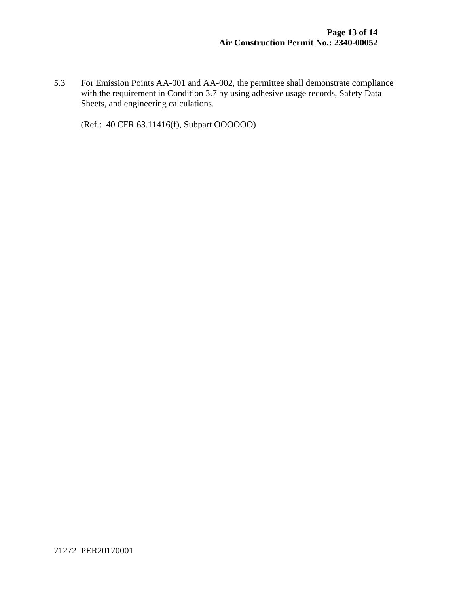5.3 For Emission Points AA-001 and AA-002, the permittee shall demonstrate compliance with the requirement in Condition 3.7 by using adhesive usage records, Safety Data Sheets, and engineering calculations.

(Ref.: 40 CFR 63.11416(f), Subpart OOOOOO)